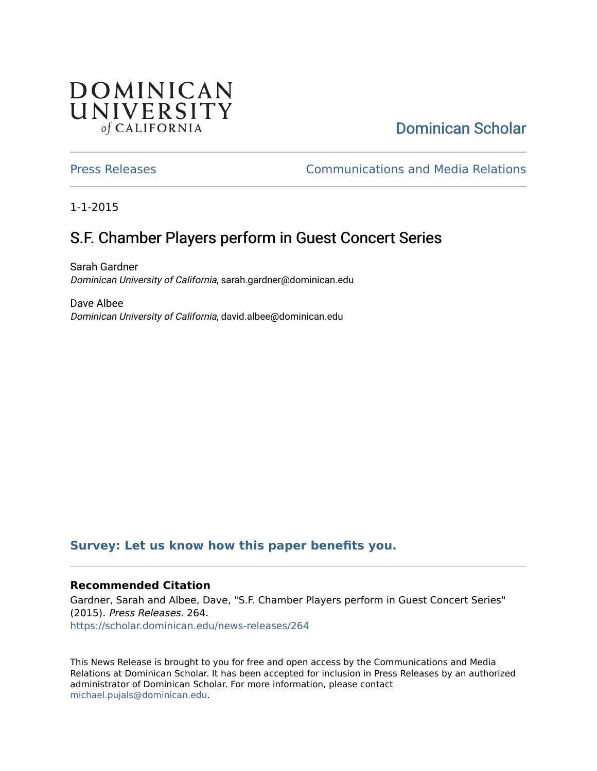## **DOMINICAN** UNIVERSITY of CALIFORNIA

# [Dominican Scholar](https://scholar.dominican.edu/)

[Press Releases](https://scholar.dominican.edu/news-releases) [Communications and Media Relations](https://scholar.dominican.edu/communications-media) 

1-1-2015

# S.F. Chamber Players perform in Guest Concert Series

Sarah Gardner Dominican University of California, sarah.gardner@dominican.edu

Dave Albee Dominican University of California, david.albee@dominican.edu

#### **[Survey: Let us know how this paper benefits you.](https://dominican.libwizard.com/dominican-scholar-feedback)**

#### **Recommended Citation**

Gardner, Sarah and Albee, Dave, "S.F. Chamber Players perform in Guest Concert Series" (2015). Press Releases. 264. [https://scholar.dominican.edu/news-releases/264](https://scholar.dominican.edu/news-releases/264?utm_source=scholar.dominican.edu%2Fnews-releases%2F264&utm_medium=PDF&utm_campaign=PDFCoverPages)

This News Release is brought to you for free and open access by the Communications and Media Relations at Dominican Scholar. It has been accepted for inclusion in Press Releases by an authorized administrator of Dominican Scholar. For more information, please contact [michael.pujals@dominican.edu.](mailto:michael.pujals@dominican.edu)